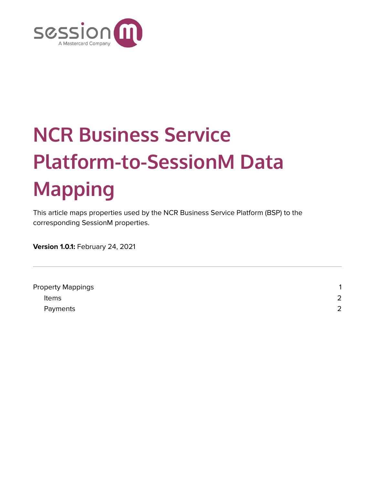

## **NCR Business Service Platform-to-SessionM Data Mapping**

This article maps properties used by the NCR Business Service Platform (BSP) to the corresponding SessionM properties.

**Version 1.0.1:** February 24, 2021

| <b>Property Mappings</b> | $\overline{ }$ |
|--------------------------|----------------|
| <b>Items</b>             | 2              |
| Payments                 | 2              |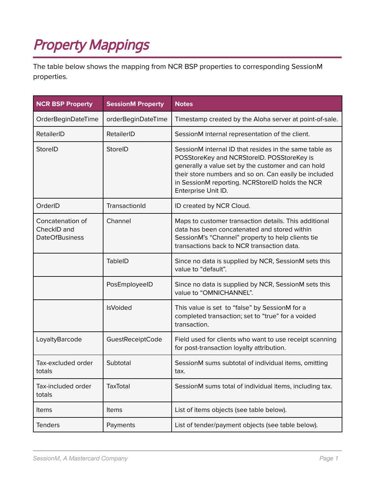## <span id="page-1-0"></span>Property Mappings

The table below shows the mapping from NCR BSP properties to corresponding SessionM properties.

| <b>NCR BSP Property</b>                                  | <b>SessionM Property</b> | <b>Notes</b>                                                                                                                                                                                                                                                                                  |
|----------------------------------------------------------|--------------------------|-----------------------------------------------------------------------------------------------------------------------------------------------------------------------------------------------------------------------------------------------------------------------------------------------|
| OrderBeginDateTime                                       | orderBeginDateTime       | Timestamp created by the Aloha server at point-of-sale.                                                                                                                                                                                                                                       |
| RetailerID                                               | RetailerID               | SessionM internal representation of the client.                                                                                                                                                                                                                                               |
| StoreID                                                  | StoreID                  | SessionM internal ID that resides in the same table as<br>POSStoreKey and NCRStoreID. POSStoreKey is<br>generally a value set by the customer and can hold<br>their store numbers and so on. Can easily be included<br>in SessionM reporting. NCRStoreID holds the NCR<br>Enterprise Unit ID. |
| OrderID                                                  | TransactionId            | ID created by NCR Cloud.                                                                                                                                                                                                                                                                      |
| Concatenation of<br>CheckID and<br><b>DateOfBusiness</b> | Channel                  | Maps to customer transaction details. This additional<br>data has been concatenated and stored within<br>SessionM's "Channel" property to help clients tie<br>transactions back to NCR transaction data.                                                                                      |
|                                                          | <b>TableID</b>           | Since no data is supplied by NCR, SessionM sets this<br>value to "default".                                                                                                                                                                                                                   |
|                                                          | PosEmployeeID            | Since no data is supplied by NCR, SessionM sets this<br>value to "OMNICHANNEL".                                                                                                                                                                                                               |
|                                                          | <b>IsVoided</b>          | This value is set to "false" by SessionM for a<br>completed transaction; set to "true" for a voided<br>transaction.                                                                                                                                                                           |
| LoyaltyBarcode                                           | GuestReceiptCode         | Field used for clients who want to use receipt scanning<br>for post-transaction loyalty attribution.                                                                                                                                                                                          |
| Tax-excluded order<br>totals                             | Subtotal                 | SessionM sums subtotal of individual items, omitting<br>tax.                                                                                                                                                                                                                                  |
| Tax-included order<br>totals                             | <b>TaxTotal</b>          | SessionM sums total of individual items, including tax.                                                                                                                                                                                                                                       |
| Items                                                    | Items                    | List of items objects (see table below).                                                                                                                                                                                                                                                      |
| <b>Tenders</b>                                           | Payments                 | List of tender/payment objects (see table below).                                                                                                                                                                                                                                             |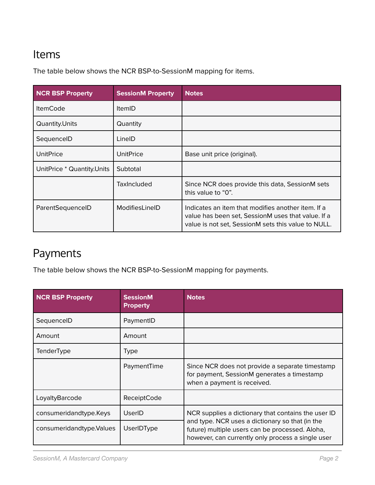## Items

The table below shows the NCR BSP-to-SessionM mapping for items.

| <b>NCR BSP Property</b>    | <b>SessionM Property</b> | <b>Notes</b>                                                                                                                                                    |
|----------------------------|--------------------------|-----------------------------------------------------------------------------------------------------------------------------------------------------------------|
| <b>ItemCode</b>            | <b>ItemID</b>            |                                                                                                                                                                 |
| Quantity.Units             | Quantity                 |                                                                                                                                                                 |
| SequencelD                 | LineID                   |                                                                                                                                                                 |
| <b>UnitPrice</b>           | <b>UnitPrice</b>         | Base unit price (original).                                                                                                                                     |
| UnitPrice * Quantity.Units | Subtotal                 |                                                                                                                                                                 |
|                            | <b>TaxIncluded</b>       | Since NCR does provide this data, SessionM sets<br>this value to "0".                                                                                           |
| ParentSequenceID           | ModifiesLineID           | Indicates an item that modifies another item. If a<br>value has been set, SessionM uses that value. If a<br>value is not set, SessionM sets this value to NULL. |

## <span id="page-2-0"></span>Payments

The table below shows the NCR BSP-to-SessionM mapping for payments.

| <b>NCR BSP Property</b>   | <b>SessionM</b><br><b>Property</b> | <b>Notes</b>                                                                                                                                                                                                   |
|---------------------------|------------------------------------|----------------------------------------------------------------------------------------------------------------------------------------------------------------------------------------------------------------|
| SequencelD                | PaymentID                          |                                                                                                                                                                                                                |
| Amount                    | Amount                             |                                                                                                                                                                                                                |
| TenderType                | Type                               |                                                                                                                                                                                                                |
|                           | PaymentTime                        | Since NCR does not provide a separate timestamp<br>for payment, SessionM generates a timestamp<br>when a payment is received.                                                                                  |
| LoyaltyBarcode            | ReceiptCode                        |                                                                                                                                                                                                                |
| consumeridandtype.Keys    | UserID                             | NCR supplies a dictionary that contains the user ID<br>and type. NCR uses a dictionary so that (in the<br>future) multiple users can be processed. Aloha,<br>however, can currently only process a single user |
| consumeridandtype. Values | <b>UserIDType</b>                  |                                                                                                                                                                                                                |